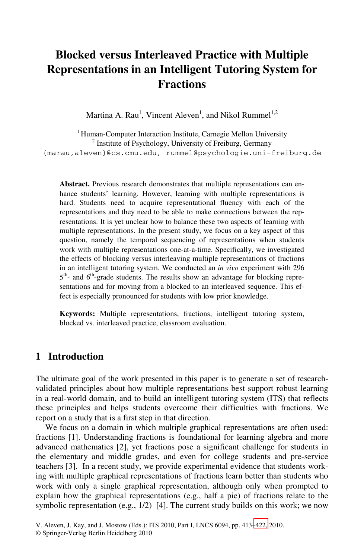# **Blocked versus Interleaved Practice with Multiple Representations in an Intelligent Tutoring System for Fractions**

Martina A. Rau<sup>1</sup>, Vincent Aleven<sup>1</sup>, and Nikol Rummel<sup>1,2</sup>

<sup>1</sup> Human-Computer Interaction Institute, Carnegie Mellon University  $<sup>2</sup>$  Institute of Psychology, University of Freiburg, Germany</sup> {marau,aleven}@cs.cmu.edu, rummel@psychologie.uni-freiburg.de

**Abstract.** Previous research demonstrates that multiple representations can enhance students' learning. However, learning with multiple representations is hard. Students need to acquire representational fluency with each of the representations and they need to be able to make connections between the representations. It is yet unclear how to balance these two aspects of learning with multiple representations. In the present study, we focus on a key aspect of this question, namely the temporal sequencing of representations when students work with multiple representations one-at-a-time. Specifically, we investigated the effects of blocking versus interleaving multiple representations of fractions in an intelligent tutoring system. We conducted an *in vivo* experiment with 296 5<sup>th</sup>- and 6<sup>th</sup>-grade students. The results show an advantage for blocking representations and for moving from a blocked to an interleaved sequence. This effect is especially pronounced for students with low prior knowledge.

**Keywords:** Multiple representations, fractions, intelligent tutoring system, blocked vs. interleaved practice, classroom evaluation.

### **1 Introduction**

The ultimate goal of the work presented in this paper is to generate a set of researchvalidated principles about how multiple representations best support robust learning in a real-world domain, and to build an intelligent tutoring system (ITS) that reflects these principles and helps students overcome their difficulties with fractions. We report on a study that is a first step in that direction.

We focus on a domain in which multiple graphical representations are often used: fractions [1]. Understanding fractions is foundational for learning algebra and more advanced mathematics [2], yet fractions p[ose a](#page-9-0) significant challenge for students in the elementary and middle grades, and even for college students and pre-service teachers [3]. In a recent study, we provide experimental evidence that students working with multiple graphical representations of fractions learn better than students who work with only a single graphical representation, although only when prompted to explain how the graphical representations (e.g., half a pie) of fractions relate to the symbolic representation (e.g., 1/2) [4]. The current study builds on this work; we now

V. Aleven, J. Kay, and J. Mostow (Eds.): ITS 2010, Part I, LNCS 6094, pp. 413–422, 2010. © Springer-Verlag Berlin Heidelberg 2010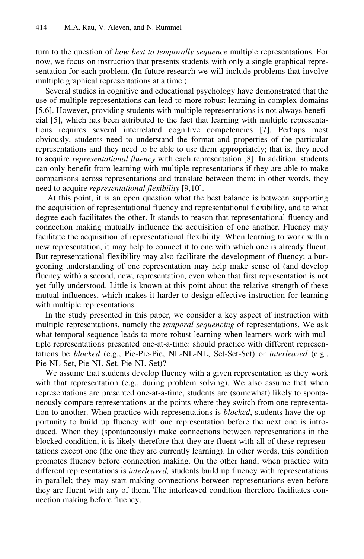turn to the question of *how best to temporally sequence* multiple representations. For now, we focus on instruction that presents students with only a single graphical representation for each problem. (In future research we will include problems that involve multiple graphical representations at a time.)

Several studies in cognitive and educational psychology have demonstrated that the use of multiple representations can lead to more robust learning in complex domains [5,6]. However, providing students with multiple representations is not always beneficial [5], which has been attributed to the fact that learning with multiple representations requires several interrelated cognitive competencies [7]. Perhaps most obviously, students need to understand the format and properties of the particular representations and they need to be able to use them appropriately; that is, they need to acquire *representational fluency* with each representation [8]. In addition, students can only benefit from learning with multiple representations if they are able to make comparisons across representations and translate between them; in other words, they need to acquire *representational flexibility* [9,10].

 At this point, it is an open question what the best balance is between supporting the acquisition of representational fluency and representational flexibility, and to what degree each facilitates the other. It stands to reason that representational fluency and connection making mutually influence the acquisition of one another. Fluency may facilitate the acquisition of representational flexibility. When learning to work with a new representation, it may help to connect it to one with which one is already fluent. But representational flexibility may also facilitate the development of fluency; a burgeoning understanding of one representation may help make sense of (and develop fluency with) a second, new, representation, even when that first representation is not yet fully understood. Little is known at this point about the relative strength of these mutual influences, which makes it harder to design effective instruction for learning with multiple representations.

In the study presented in this paper, we consider a key aspect of instruction with multiple representations, namely the *temporal sequencing* of representations. We ask what temporal sequence leads to more robust learning when learners work with multiple representations presented one-at-a-time: should practice with different representations be *blocked* (e.g., Pie-Pie-Pie, NL-NL-NL, Set-Set-Set) or *interleaved* (e.g., Pie-NL-Set, Pie-NL-Set, Pie-NL-Set)?

We assume that students develop fluency with a given representation as they work with that representation (e.g., during problem solving). We also assume that when representations are presented one-at-a-time, students are (somewhat) likely to spontaneously compare representations at the points where they switch from one representation to another. When practice with representations is *blocked*, students have the opportunity to build up fluency with one representation before the next one is introduced. When they (spontaneously) make connections between representations in the blocked condition, it is likely therefore that they are fluent with all of these representations except one (the one they are currently learning). In other words, this condition promotes fluency before connection making. On the other hand, when practice with different representations is *interleaved,* students build up fluency with representations in parallel; they may start making connections between representations even before they are fluent with any of them. The interleaved condition therefore facilitates connection making before fluency.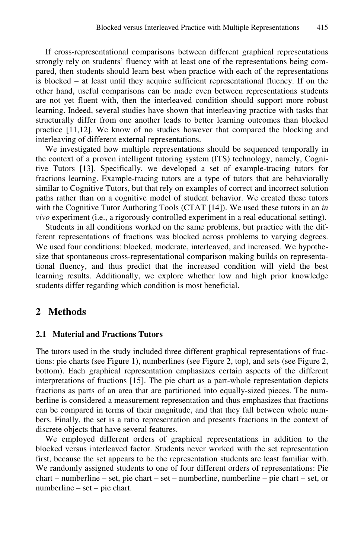If cross-representational comparisons between different graphical representations strongly rely on students' fluency with at least one of the representations being compared, then students should learn best when practice with each of the representations is blocked – at least until they acquire sufficient representational fluency. If on the other hand, useful comparisons can be made even between representations students are not yet fluent with, then the interleaved condition should support more robust learning. Indeed, several studies have shown that interleaving practice with tasks that structurally differ from one another leads to better learning outcomes than blocked practice [11,12]. We know of no studies however that compared the blocking and interleaving of different external representations.

We investigated how multiple representations should be sequenced temporally in the context of a proven intelligent tutoring system (ITS) technology, namely, Cognitive Tutors [13]. Specifically, we developed a set of example-tracing tutors for fractions learning. Example-tracing tutors are a type of tutors that are behaviorally similar to Cognitive Tutors, but that rely on examples of correct and incorrect solution paths rather than on a cognitive model of student behavior. We created these tutors with the Cognitive Tutor Authoring Tools (CTAT [14]). We used these tutors in an *in vivo* experiment (i.e., a rigorously controlled experiment in a real educational setting).

Students in all conditions worked on the same problems, but practice with the different representations of fractions was blocked across problems to varying degrees. We used four conditions: blocked, moderate, interleaved, and increased. We hypothesize that spontaneous cross-representational comparison making builds on representational fluency, and thus predict that the increased condition will yield the best learning results. Additionally, we explore whether low and high prior knowledge students differ regarding which condition is most beneficial.

### **2 Methods**

### **2.1 Material and Fractions Tutors**

The tutors used in the study included three different graphical representations of fractions: pie charts (see Figure 1), numberlines (see Figure 2, top), and sets (see Figure 2, bottom). Each graphical representation emphasizes certain aspects of the different interpretations of fractions [15]. The pie chart as a part-whole representation depicts fractions as parts of an area that are partitioned into equally-sized pieces. The numberline is considered a measurement representation and thus emphasizes that fractions can be compared in terms of their magnitude, and that they fall between whole numbers. Finally, the set is a ratio representation and presents fractions in the context of discrete objects that have several features.

We employed different orders of graphical representations in addition to the blocked versus interleaved factor. Students never worked with the set representation first, because the set appears to be the representation students are least familiar with. We randomly assigned students to one of four different orders of representations: Pie chart – numberline – set, pie chart – set – numberline, numberline – pie chart – set, or numberline – set – pie chart.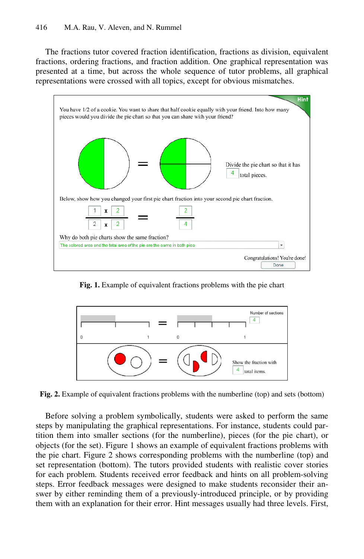The fractions tutor covered fraction identification, fractions as division, equivalent fractions, ordering fractions, and fraction addition. One graphical representation was presented at a time, but across the whole sequence of tutor problems, all graphical representations were crossed with all topics, except for obvious mismatches.



**Fig. 1.** Example of equivalent fractions problems with the pie chart



**Fig. 2.** Example of equivalent fractions problems with the numberline (top) and sets (bottom)

Before solving a problem symbolically, students were asked to perform the same steps by manipulating the graphical representations. For instance, students could partition them into smaller sections (for the numberline), pieces (for the pie chart), or objects (for the set). Figure 1 shows an example of equivalent fractions problems with the pie chart. Figure 2 shows corresponding problems with the numberline (top) and set representation (bottom). The tutors provided students with realistic cover stories for each problem. Students received error feedback and hints on all problem-solving steps. Error feedback messages were designed to make students reconsider their answer by either reminding them of a previously-introduced principle, or by providing them with an explanation for their error. Hint messages usually had three levels. First,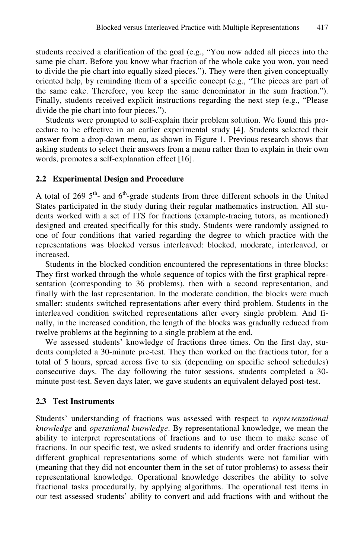students received a clarification of the goal (e.g., "You now added all pieces into the same pie chart. Before you know what fraction of the whole cake you won, you need to divide the pie chart into equally sized pieces."). They were then given conceptually oriented help, by reminding them of a specific concept (e.g., "The pieces are part of the same cake. Therefore, you keep the same denominator in the sum fraction."). Finally, students received explicit instructions regarding the next step (e.g., "Please divide the pie chart into four pieces.").

Students were prompted to self-explain their problem solution. We found this procedure to be effective in an earlier experimental study [4]. Students selected their answer from a drop-down menu, as shown in Figure 1. Previous research shows that asking students to select their answers from a menu rather than to explain in their own words, promotes a self-explanation effect [16].

### **2.2 Experimental Design and Procedure**

A total of 269  $5<sup>th</sup>$ - and  $6<sup>th</sup>$ -grade students from three different schools in the United States participated in the study during their regular mathematics instruction. All students worked with a set of ITS for fractions (example-tracing tutors, as mentioned) designed and created specifically for this study. Students were randomly assigned to one of four conditions that varied regarding the degree to which practice with the representations was blocked versus interleaved: blocked, moderate, interleaved, or increased.

Students in the blocked condition encountered the representations in three blocks: They first worked through the whole sequence of topics with the first graphical representation (corresponding to 36 problems), then with a second representation, and finally with the last representation. In the moderate condition, the blocks were much smaller: students switched representations after every third problem. Students in the interleaved condition switched representations after every single problem. And finally, in the increased condition, the length of the blocks was gradually reduced from twelve problems at the beginning to a single problem at the end.

We assessed students' knowledge of fractions three times. On the first day, students completed a 30-minute pre-test. They then worked on the fractions tutor, for a total of 5 hours, spread across five to six (depending on specific school schedules) consecutive days. The day following the tutor sessions, students completed a 30 minute post-test. Seven days later, we gave students an equivalent delayed post-test.

#### **2.3 Test Instruments**

Students' understanding of fractions was assessed with respect to *representational knowledge* and *operational knowledge*. By representational knowledge, we mean the ability to interpret representations of fractions and to use them to make sense of fractions. In our specific test, we asked students to identify and order fractions using different graphical representations some of which students were not familiar with (meaning that they did not encounter them in the set of tutor problems) to assess their representational knowledge. Operational knowledge describes the ability to solve fractional tasks procedurally, by applying algorithms. The operational test items in our test assessed students' ability to convert and add fractions with and without the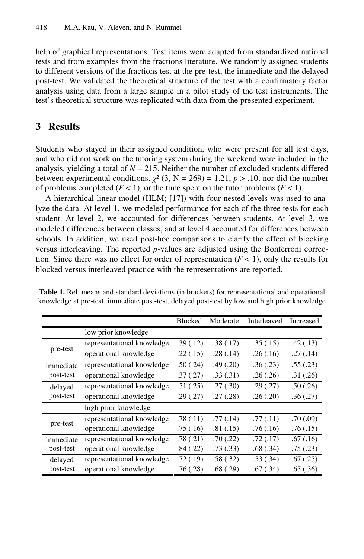help of graphical representations. Test items were adapted from standardized national tests and from examples from the fractions literature. We randomly assigned students to different versions of the fractions test at the pre-test, the immediate and the delayed post-test. We validated the theoretical structure of the test with a confirmatory factor analysis using data from a large sample in a pilot study of the test instruments. The test's theoretical structure was replicated with data from the presented experiment.

# **3 Results**

Students who stayed in their assigned condition, who were present for all test days, and who did not work on the tutoring system during the weekend were included in the analysis, yielding a total of  $N = 215$ . Neither the number of excluded students differed between experimental conditions,  $\chi^2$  (3, N = 269) = 1.21, *p* > .10, nor did the number of problems completed  $(F < 1)$ , or the time spent on the tutor problems  $(F < 1)$ .

A hierarchical linear model (HLM; [17]) with four nested levels was used to analyze the data. At level 1, we modeled performance for each of the three tests for each student. At level 2, we accounted for differences between students. At level 3, we modeled differences between classes, and at level 4 accounted for differences between schools. In addition, we used post-hoc comparisons to clarify the effect of blocking versus interleaving. The reported *p*-values are adjusted using the Bonferroni correction. Since there was no effect for order of representation  $(F < 1)$ , only the results for blocked versus interleaved practice with the representations are reported.

|                        |                            | <b>Blocked</b> | Moderate  | Interleaved | Increased |
|------------------------|----------------------------|----------------|-----------|-------------|-----------|
|                        | low prior knowledge        |                |           |             |           |
| pre-test               | representational knowledge | .39(.12)       | .38(.17)  | .35(.15)    | .42(.13)  |
|                        | operational knowledge      | .22(.15)       | .28(.14)  | .26(.16)    | .27(.14)  |
| immediate<br>post-test | representational knowledge | .50(.24)       | .49(.20)  | .36(.23)    | .55(.23)  |
|                        | operational knowledge      | .37(.27)       | .33(.31)  | .26(.26)    | .31(.26)  |
| delayed<br>post-test   | representational knowledge | .51(.25)       | .27(.30)  | .29(.27)    | .50(.26)  |
|                        | operational knowledge      | .29(.27)       | .27(.28)  | .26(.20)    | .36(.27)  |
|                        | high prior knowledge       |                |           |             |           |
| pre-test               | representational knowledge | .78(.11)       | .77(0.14) | .77(.11)    | .70(0.09) |
|                        | operational knowledge      | .75(0.16)      | .81(.15)  | .76(.16)    | .76(0.15) |
| immediate<br>post-test | representational knowledge | .78(.21)       | .70(.22)  | .72(.17)    | .67(0.16) |
|                        | operational knowledge      | .84(.22)       | .73(0.33) | .68(.34)    | .75(.23)  |
| delayed<br>post-test   | representational knowledge | .72(.19)       | .58(.32)  | .53(.34)    | .67(.25)  |
|                        | operational knowledge      | .76(.28)       | .68(.29)  | .67(.34)    | .65(.36)  |

**Table 1.** Rel. means and standard deviations (in brackets) for representational and operational knowledge at pre-test, immediate post-test, delayed post-test by low and high prior knowledge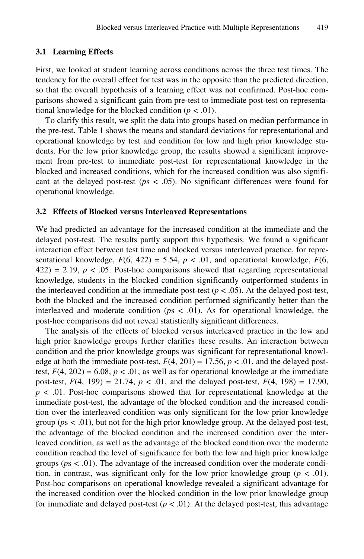### **3.1 Learning Effects**

First, we looked at student learning across conditions across the three test times. The tendency for the overall effect for test was in the opposite than the predicted direction, so that the overall hypothesis of a learning effect was not confirmed. Post-hoc comparisons showed a significant gain from pre-test to immediate post-test on representational knowledge for the blocked condition (*p <* .01).

To clarify this result, we split the data into groups based on median performance in the pre-test. Table 1 shows the means and standard deviations for representational and operational knowledge by test and condition for low and high prior knowledge students. For the low prior knowledge group, the results showed a significant improvement from pre-test to immediate post-test for representational knowledge in the blocked and increased conditions, which for the increased condition was also significant at the delayed post-test (*p*s < .05). No significant differences were found for operational knowledge.

### **3.2 Effects of Blocked versus Interleaved Representations**

We had predicted an advantage for the increased condition at the immediate and the delayed post-test. The results partly support this hypothesis. We found a significant interaction effect between test time and blocked versus interleaved practice, for representational knowledge,  $F(6, 422) = 5.54$ ,  $p < .01$ , and operational knowledge,  $F(6, 422) = 5.54$  $422$ ) = 2.19,  $p < .05$ . Post-hoc comparisons showed that regarding representational knowledge, students in the blocked condition significantly outperformed students in the interleaved condition at the immediate post-test ( $p < .05$ ). At the delayed post-test, both the blocked and the increased condition performed significantly better than the interleaved and moderate condition ( $p_s < .01$ ). As for operational knowledge, the post-hoc comparisons did not reveal statistically significant differences.

The analysis of the effects of blocked versus interleaved practice in the low and high prior knowledge groups further clarifies these results. An interaction between condition and the prior knowledge groups was significant for representational knowledge at both the immediate post-test,  $F(4, 201) = 17.56$ ,  $p < .01$ , and the delayed posttest,  $F(4, 202) = 6.08$ ,  $p < .01$ , as well as for operational knowledge at the immediate post-test,  $F(4, 199) = 21.74$ ,  $p < .01$ , and the delayed post-test,  $F(4, 198) = 17.90$ ,  $p < .01$ . Post-hoc comparisons showed that for representational knowledge at the immediate post-test, the advantage of the blocked condition and the increased condition over the interleaved condition was only significant for the low prior knowledge group ( $ps < .01$ ), but not for the high prior knowledge group. At the delayed post-test, the advantage of the blocked condition and the increased condition over the interleaved condition, as well as the advantage of the blocked condition over the moderate condition reached the level of significance for both the low and high prior knowledge groups (*p*s *<* .01). The advantage of the increased condition over the moderate condition, in contrast, was significant only for the low prior knowledge group ( $p < .01$ ). Post-hoc comparisons on operational knowledge revealed a significant advantage for the increased condition over the blocked condition in the low prior knowledge group for immediate and delayed post-test ( $p < .01$ ). At the delayed post-test, this advantage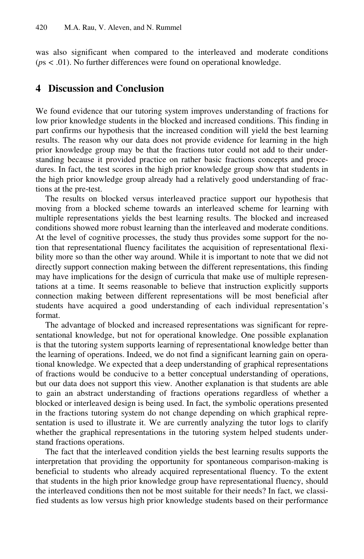was also significant when compared to the interleaved and moderate conditions (*p*s *<* .01). No further differences were found on operational knowledge.

### **4 Discussion and Conclusion**

We found evidence that our tutoring system improves understanding of fractions for low prior knowledge students in the blocked and increased conditions. This finding in part confirms our hypothesis that the increased condition will yield the best learning results. The reason why our data does not provide evidence for learning in the high prior knowledge group may be that the fractions tutor could not add to their understanding because it provided practice on rather basic fractions concepts and procedures. In fact, the test scores in the high prior knowledge group show that students in the high prior knowledge group already had a relatively good understanding of fractions at the pre-test.

The results on blocked versus interleaved practice support our hypothesis that moving from a blocked scheme towards an interleaved scheme for learning with multiple representations yields the best learning results. The blocked and increased conditions showed more robust learning than the interleaved and moderate conditions. At the level of cognitive processes, the study thus provides some support for the notion that representational fluency facilitates the acquisition of representational flexibility more so than the other way around. While it is important to note that we did not directly support connection making between the different representations, this finding may have implications for the design of curricula that make use of multiple representations at a time. It seems reasonable to believe that instruction explicitly supports connection making between different representations will be most beneficial after students have acquired a good understanding of each individual representation's format.

The advantage of blocked and increased representations was significant for representational knowledge, but not for operational knowledge. One possible explanation is that the tutoring system supports learning of representational knowledge better than the learning of operations. Indeed, we do not find a significant learning gain on operational knowledge. We expected that a deep understanding of graphical representations of fractions would be conducive to a better conceptual understanding of operations, but our data does not support this view. Another explanation is that students are able to gain an abstract understanding of fractions operations regardless of whether a blocked or interleaved design is being used. In fact, the symbolic operations presented in the fractions tutoring system do not change depending on which graphical representation is used to illustrate it. We are currently analyzing the tutor logs to clarify whether the graphical representations in the tutoring system helped students understand fractions operations.

The fact that the interleaved condition yields the best learning results supports the interpretation that providing the opportunity for spontaneous comparison-making is beneficial to students who already acquired representational fluency. To the extent that students in the high prior knowledge group have representational fluency, should the interleaved conditions then not be most suitable for their needs? In fact, we classified students as low versus high prior knowledge students based on their performance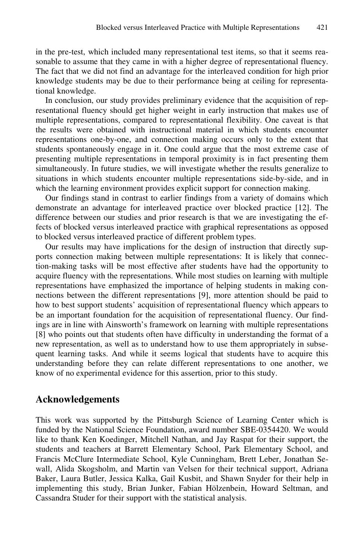in the pre-test, which included many representational test items, so that it seems reasonable to assume that they came in with a higher degree of representational fluency. The fact that we did not find an advantage for the interleaved condition for high prior knowledge students may be due to their performance being at ceiling for representational knowledge.

In conclusion, our study provides preliminary evidence that the acquisition of representational fluency should get higher weight in early instruction that makes use of multiple representations, compared to representational flexibility. One caveat is that the results were obtained with instructional material in which students encounter representations one-by-one, and connection making occurs only to the extent that students spontaneously engage in it. One could argue that the most extreme case of presenting multiple representations in temporal proximity is in fact presenting them simultaneously. In future studies, we will investigate whether the results generalize to situations in which students encounter multiple representations side-by-side, and in which the learning environment provides explicit support for connection making.

Our findings stand in contrast to earlier findings from a variety of domains which demonstrate an advantage for interleaved practice over blocked practice [12]. The difference between our studies and prior research is that we are investigating the effects of blocked versus interleaved practice with graphical representations as opposed to blocked versus interleaved practice of different problem types.

Our results may have implications for the design of instruction that directly supports connection making between multiple representations: It is likely that connection-making tasks will be most effective after students have had the opportunity to acquire fluency with the representations. While most studies on learning with multiple representations have emphasized the importance of helping students in making connections between the different representations [9], more attention should be paid to how to best support students' acquisition of representational fluency which appears to be an important foundation for the acquisition of representational fluency. Our findings are in line with Ainsworth's framework on learning with multiple representations [8] who points out that students often have difficulty in understanding the format of a new representation, as well as to understand how to use them appropriately in subsequent learning tasks. And while it seems logical that students have to acquire this understanding before they can relate different representations to one another, we know of no experimental evidence for this assertion, prior to this study.

## **Acknowledgements**

This work was supported by the Pittsburgh Science of Learning Center which is funded by the National Science Foundation, award number SBE-0354420. We would like to thank Ken Koedinger, Mitchell Nathan, and Jay Raspat for their support, the students and teachers at Barrett Elementary School, Park Elementary School, and Francis McClure Intermediate School, Kyle Cunningham, Brett Leber, Jonathan Sewall, Alida Skogsholm, and Martin van Velsen for their technical support, Adriana Baker, Laura Butler, Jessica Kalka, Gail Kusbit, and Shawn Snyder for their help in implementing this study, Brian Junker, Fabian Hölzenbein, Howard Seltman, and Cassandra Studer for their support with the statistical analysis.